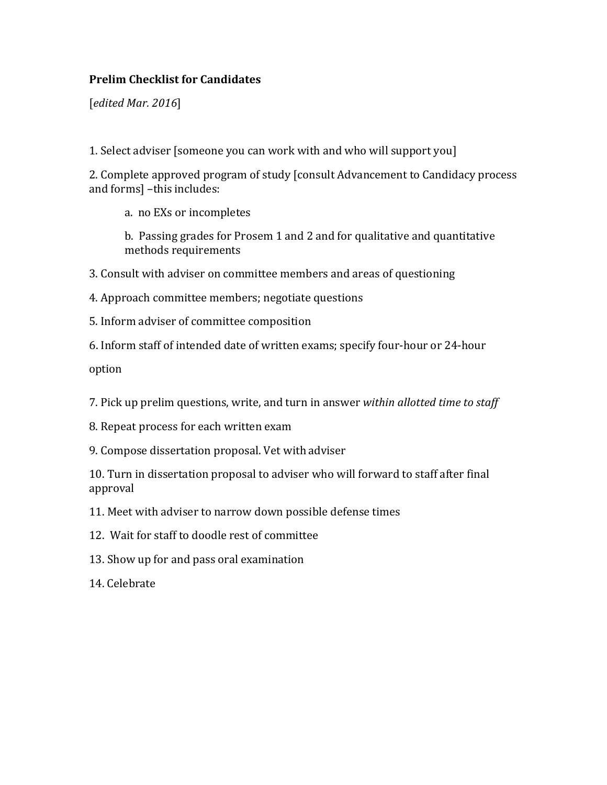## **Prelim Checklist for Candidates**

[*edited Mar. 2016*] 

1. Select adviser [someone you can work with and who will support you]

2. Complete approved program of study [consult Advancement to Candidacy process and forms] -this includes:

a. no EXs or incompletes

b. Passing grades for Prosem 1 and 2 and for qualitative and quantitative methods requirements 

3. Consult with adviser on committee members and areas of questioning

- 4. Approach committee members; negotiate questions
- 5. Inform adviser of committee composition
- 6. Inform staff of intended date of written exams; specify four-hour or 24-hour

option 

7. Pick up prelim questions, write, and turn in answer *within allotted time to staff* 

- 8. Repeat process for each written exam
- 9. Compose dissertation proposal. Vet with adviser

10. Turn in dissertation proposal to adviser who will forward to staff after final approval 

- 11. Meet with adviser to narrow down possible defense times
- 12. Wait for staff to doodle rest of committee
- 13. Show up for and pass oral examination

14. Celebrate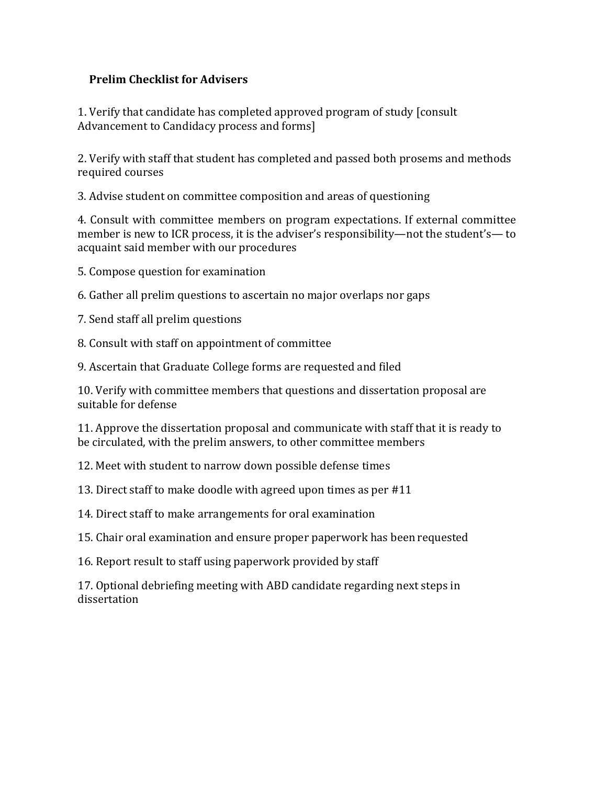## **Prelim Checklist for Advisers**

1. Verify that candidate has completed approved program of study [consult] Advancement to Candidacy process and forms]

2. Verify with staff that student has completed and passed both prosems and methods required courses

3. Advise student on committee composition and areas of questioning

4. Consult with committee members on program expectations. If external committee member is new to ICR process, it is the adviser's responsibility—not the student's— to acquaint said member with our procedures

5. Compose question for examination

6. Gather all prelim questions to ascertain no major overlaps nor gaps

7. Send staff all prelim questions

8. Consult with staff on appointment of committee

9. Ascertain that Graduate College forms are requested and filed

10. Verify with committee members that questions and dissertation proposal are suitable for defense

11. Approve the dissertation proposal and communicate with staff that it is ready to be circulated, with the prelim answers, to other committee members

12. Meet with student to narrow down possible defense times

13. Direct staff to make doodle with agreed upon times as per #11

14. Direct staff to make arrangements for oral examination

15. Chair oral examination and ensure proper paperwork has been requested

16. Report result to staff using paperwork provided by staff

17. Optional debriefing meeting with ABD candidate regarding next steps in dissertation